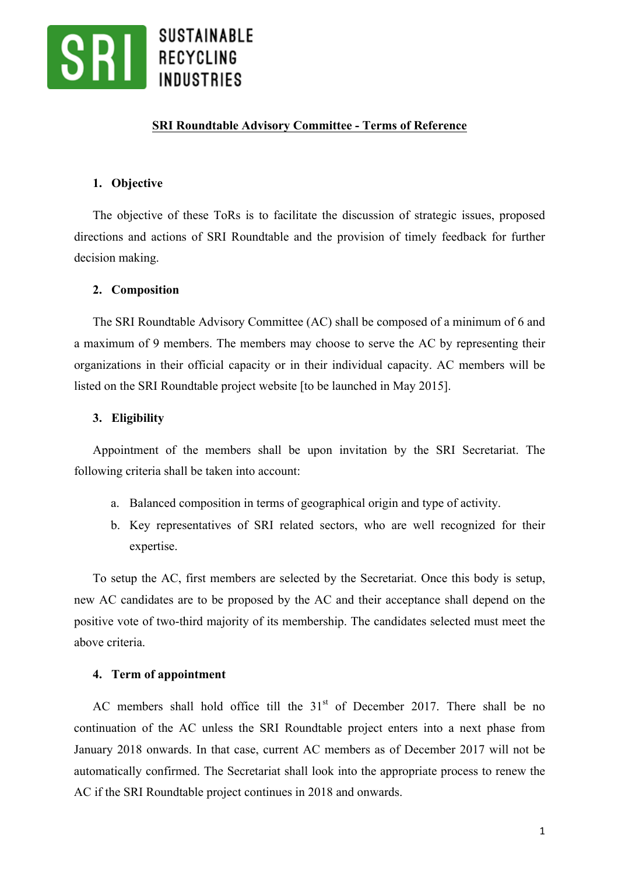

### **SRI Roundtable Advisory Committee - Terms of Reference**

#### **1. Objective**

The objective of these ToRs is to facilitate the discussion of strategic issues, proposed directions and actions of SRI Roundtable and the provision of timely feedback for further decision making.

#### **2. Composition**

The SRI Roundtable Advisory Committee (AC) shall be composed of a minimum of 6 and a maximum of 9 members. The members may choose to serve the AC by representing their organizations in their official capacity or in their individual capacity. AC members will be listed on the SRI Roundtable project website [to be launched in May 2015].

#### **3. Eligibility**

Appointment of the members shall be upon invitation by the SRI Secretariat. The following criteria shall be taken into account:

- a. Balanced composition in terms of geographical origin and type of activity.
- b. Key representatives of SRI related sectors, who are well recognized for their expertise.

To setup the AC, first members are selected by the Secretariat. Once this body is setup, new AC candidates are to be proposed by the AC and their acceptance shall depend on the positive vote of two-third majority of its membership. The candidates selected must meet the above criteria.

#### **4. Term of appointment**

AC members shall hold office till the  $31<sup>st</sup>$  of December 2017. There shall be no continuation of the AC unless the SRI Roundtable project enters into a next phase from January 2018 onwards. In that case, current AC members as of December 2017 will not be automatically confirmed. The Secretariat shall look into the appropriate process to renew the AC if the SRI Roundtable project continues in 2018 and onwards.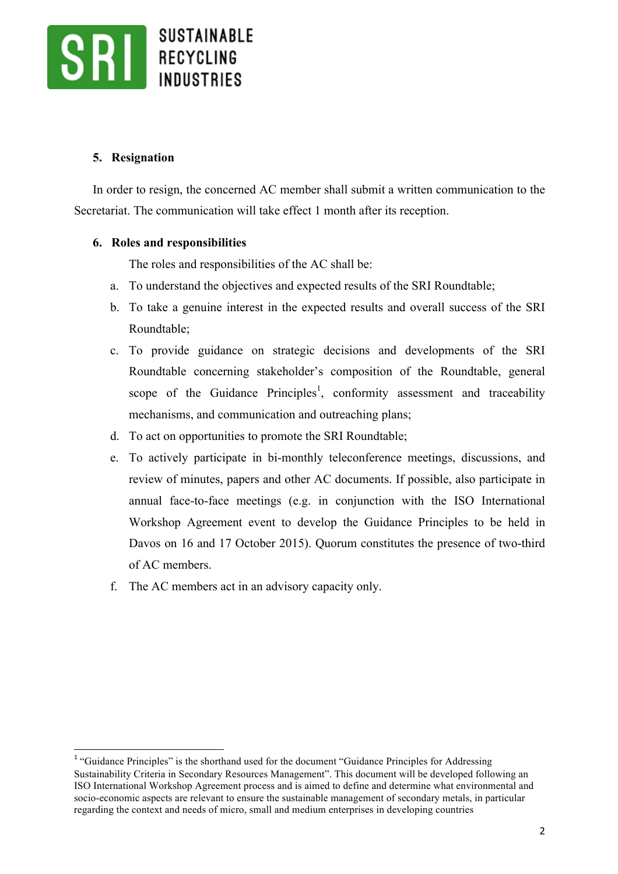

# **5. Resignation**

In order to resign, the concerned AC member shall submit a written communication to the Secretariat. The communication will take effect 1 month after its reception.

# **6. Roles and responsibilities**

The roles and responsibilities of the AC shall be:

- a. To understand the objectives and expected results of the SRI Roundtable;
- b. To take a genuine interest in the expected results and overall success of the SRI Roundtable;
- c. To provide guidance on strategic decisions and developments of the SRI Roundtable concerning stakeholder's composition of the Roundtable, general scope of the Guidance Principles<sup>1</sup>, conformity assessment and traceability mechanisms, and communication and outreaching plans;
- d. To act on opportunities to promote the SRI Roundtable;
- e. To actively participate in bi-monthly teleconference meetings, discussions, and review of minutes, papers and other AC documents. If possible, also participate in annual face-to-face meetings (e.g. in conjunction with the ISO International Workshop Agreement event to develop the Guidance Principles to be held in Davos on 16 and 17 October 2015). Quorum constitutes the presence of two-third of AC members.
- f. The AC members act in an advisory capacity only.

<sup>&</sup>lt;sup>1</sup> "Guidance Principles" is the shorthand used for the document "Guidance Principles for Addressing Sustainability Criteria in Secondary Resources Management". This document will be developed following an ISO International Workshop Agreement process and is aimed to define and determine what environmental and socio-economic aspects are relevant to ensure the sustainable management of secondary metals, in particular regarding the context and needs of micro, small and medium enterprises in developing countries